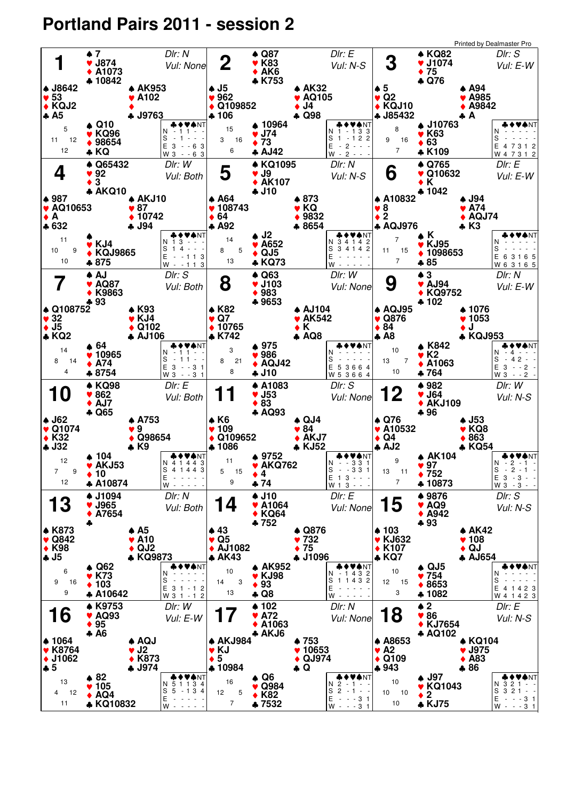## **Portland Pairs 2011 - session 2**